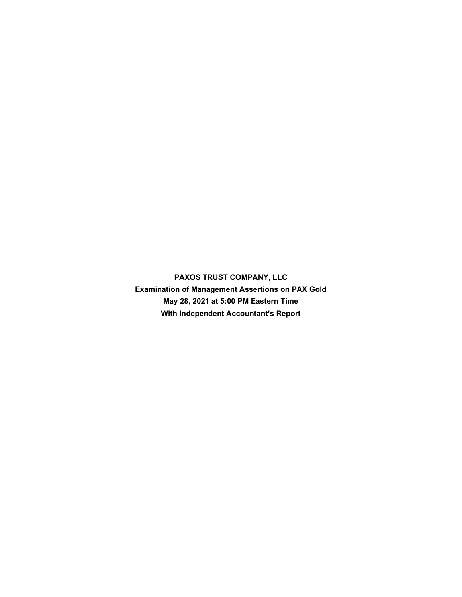**PAXOS TRUST COMPANY, LLC Examination of Management Assertions on PAX Gold May 28, 2021 at 5:00 PM Eastern Time With Independent Accountant's Report**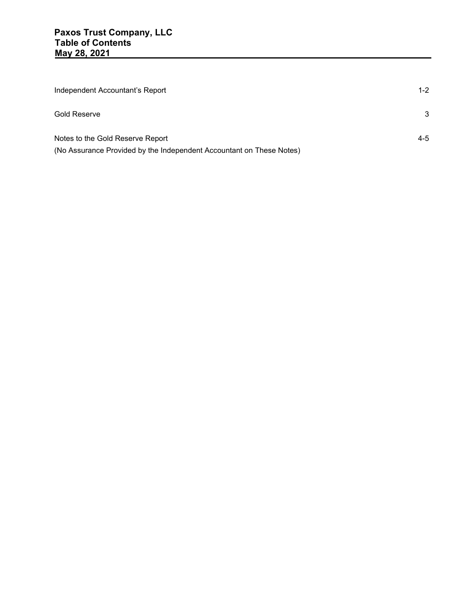| Independent Accountant's Report                                                                          | $1 - 2$ |
|----------------------------------------------------------------------------------------------------------|---------|
| <b>Gold Reserve</b>                                                                                      | 3       |
| Notes to the Gold Reserve Report<br>(No Assurance Provided by the Independent Accountant on These Notes) | $4 - 5$ |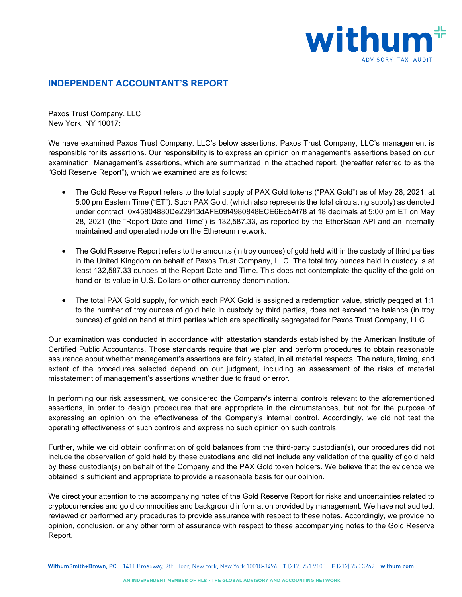

## **INDEPENDENT ACCOUNTANT'S REPORT**

Paxos Trust Company, LLC New York, NY 10017:

We have examined Paxos Trust Company, LLC's below assertions. Paxos Trust Company, LLC's management is responsible for its assertions. Our responsibility is to express an opinion on management's assertions based on our examination. Management's assertions, which are summarized in the attached report, (hereafter referred to as the "Gold Reserve Report"), which we examined are as follows:

- The Gold Reserve Report refers to the total supply of PAX Gold tokens ("PAX Gold") as of May 28, 2021, at 5:00 pm Eastern Time ("ET"). Such PAX Gold, (which also represents the total circulating supply) as denoted under contract 0x45804880De22913dAFE09f4980848ECE6EcbAf78 at 18 decimals at 5:00 pm ET on May 28, 2021 (the "Report Date and Time") is 132,587.33, as reported by the EtherScan API and an internally maintained and operated node on the Ethereum network.
- The Gold Reserve Report refers to the amounts (in troy ounces) of gold held within the custody of third parties in the United Kingdom on behalf of Paxos Trust Company, LLC. The total troy ounces held in custody is at least 132,587.33 ounces at the Report Date and Time. This does not contemplate the quality of the gold on hand or its value in U.S. Dollars or other currency denomination.
- The total PAX Gold supply, for which each PAX Gold is assigned a redemption value, strictly pegged at 1:1 to the number of troy ounces of gold held in custody by third parties, does not exceed the balance (in troy ounces) of gold on hand at third parties which are specifically segregated for Paxos Trust Company, LLC.

Our examination was conducted in accordance with attestation standards established by the American Institute of Certified Public Accountants. Those standards require that we plan and perform procedures to obtain reasonable assurance about whether management's assertions are fairly stated, in all material respects. The nature, timing, and extent of the procedures selected depend on our judgment, including an assessment of the risks of material misstatement of management's assertions whether due to fraud or error.

In performing our risk assessment, we considered the Company's internal controls relevant to the aforementioned assertions, in order to design procedures that are appropriate in the circumstances, but not for the purpose of expressing an opinion on the effectiveness of the Company's internal control. Accordingly, we did not test the operating effectiveness of such controls and express no such opinion on such controls.

Further, while we did obtain confirmation of gold balances from the third-party custodian(s), our procedures did not include the observation of gold held by these custodians and did not include any validation of the quality of gold held by these custodian(s) on behalf of the Company and the PAX Gold token holders. We believe that the evidence we obtained is sufficient and appropriate to provide a reasonable basis for our opinion.

We direct your attention to the accompanying notes of the Gold Reserve Report for risks and uncertainties related to cryptocurrencies and gold commodities and background information provided by management. We have not audited, reviewed or performed any procedures to provide assurance with respect to these notes. Accordingly, we provide no opinion, conclusion, or any other form of assurance with respect to these accompanying notes to the Gold Reserve Report.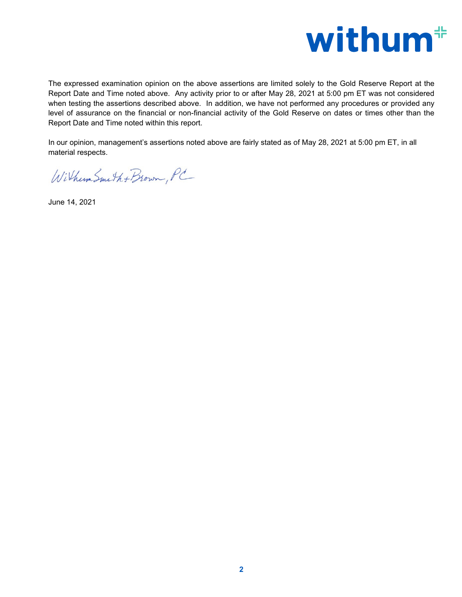

The expressed examination opinion on the above assertions are limited solely to the Gold Reserve Report at the Report Date and Time noted above. Any activity prior to or after May 28, 2021 at 5:00 pm ET was not considered when testing the assertions described above. In addition, we have not performed any procedures or provided any level of assurance on the financial or non-financial activity of the Gold Reserve on dates or times other than the Report Date and Time noted within this report.

In our opinion, management's assertions noted above are fairly stated as of May 28, 2021 at 5:00 pm ET, in all material respects.

Withum Smith + Brown, PC

June 14, 2021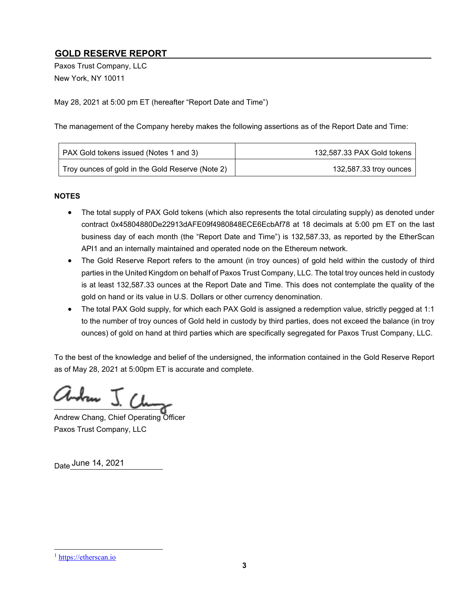# **GOLD RESERVE REPORT**

Paxos Trust Company, LLC New York, NY 10011

May 28, 2021 at 5:00 pm ET (hereafter "Report Date and Time")

The management of the Company hereby makes the following assertions as of the Report Date and Time:

| PAX Gold tokens issued (Notes 1 and 3)           | 132,587.33 PAX Gold tokens |
|--------------------------------------------------|----------------------------|
| Troy ounces of gold in the Gold Reserve (Note 2) | 132,587.33 troy ounces     |

#### **NOTES**

- The total supply of PAX Gold tokens (which also represents the total circulating supply) as denoted under contract 0x45804880De22913dAFE09f4980848ECE6EcbAf78 at 18 decimals at 5:00 pm ET on the last business day of each month (the "Report Date and Time") is 132,587.33, as reported by the EtherScan API1 and an internally maintained and operated node on the Ethereum network.
- The Gold Reserve Report refers to the amount (in troy ounces) of gold held within the custody of third parties in the United Kingdom on behalf of Paxos Trust Company, LLC. The total troy ounces held in custody is at least 132,587.33 ounces at the Report Date and Time. This does not contemplate the quality of the gold on hand or its value in U.S. Dollars or other currency denomination.
- The total PAX Gold supply, for which each PAX Gold is assigned a redemption value, strictly pegged at 1:1 to the number of troy ounces of Gold held in custody by third parties, does not exceed the balance (in troy ounces) of gold on hand at third parties which are specifically segregated for Paxos Trust Company, LLC.

To the best of the knowledge and belief of the undersigned, the information contained in the Gold Reserve Report as of May 28, 2021 at 5:00pm ET is accurate and complete.

Whan J. Che

Andrew Chang, Chief Operating Officer Paxos Trust Company, LLC

<sub>Date</sub> June 14, 2021

<sup>1</sup> https://etherscan.io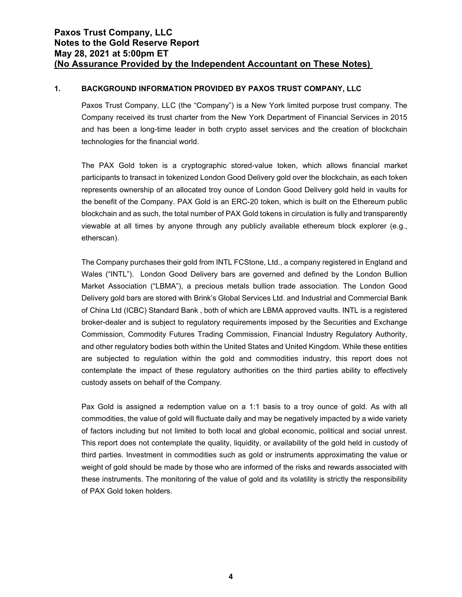#### **1. BACKGROUND INFORMATION PROVIDED BY PAXOS TRUST COMPANY, LLC**

Paxos Trust Company, LLC (the "Company") is a New York limited purpose trust company. The Company received its trust charter from the New York Department of Financial Services in 2015 and has been a long-time leader in both crypto asset services and the creation of blockchain technologies for the financial world.

The PAX Gold token is a cryptographic stored-value token, which allows financial market participants to transact in tokenized London Good Delivery gold over the blockchain, as each token represents ownership of an allocated troy ounce of London Good Delivery gold held in vaults for the benefit of the Company. PAX Gold is an ERC-20 token, which is built on the Ethereum public blockchain and as such, the total number of PAX Gold tokens in circulation is fully and transparently viewable at all times by anyone through any publicly available ethereum block explorer (e.g., etherscan).

The Company purchases their gold from INTL FCStone, Ltd., a company registered in England and Wales ("INTL"). London Good Delivery bars are governed and defined by the London Bullion Market Association ("LBMA"), a precious metals bullion trade association. The London Good Delivery gold bars are stored with Brink's Global Services Ltd. and Industrial and Commercial Bank of China Ltd (ICBC) Standard Bank , both of which are LBMA approved vaults. INTL is a registered broker-dealer and is subject to regulatory requirements imposed by the Securities and Exchange Commission, Commodity Futures Trading Commission, Financial Industry Regulatory Authority, and other regulatory bodies both within the United States and United Kingdom. While these entities are subjected to regulation within the gold and commodities industry, this report does not contemplate the impact of these regulatory authorities on the third parties ability to effectively custody assets on behalf of the Company.

Pax Gold is assigned a redemption value on a 1:1 basis to a troy ounce of gold. As with all commodities, the value of gold will fluctuate daily and may be negatively impacted by a wide variety of factors including but not limited to both local and global economic, political and social unrest. This report does not contemplate the quality, liquidity, or availability of the gold held in custody of third parties. Investment in commodities such as gold or instruments approximating the value or weight of gold should be made by those who are informed of the risks and rewards associated with these instruments. The monitoring of the value of gold and its volatility is strictly the responsibility of PAX Gold token holders.